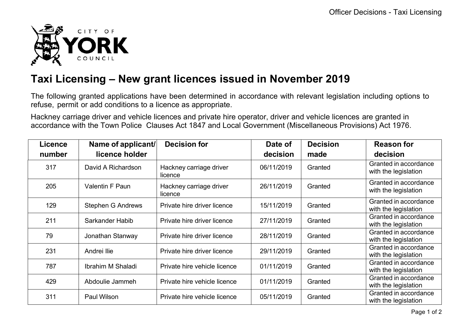

## **Taxi Licensing – New grant licences issued in November 2019**

The following granted applications have been determined in accordance with relevant legislation including options to refuse, permit or add conditions to a licence as appropriate.

Hackney carriage driver and vehicle licences and private hire operator, driver and vehicle licences are granted in accordance with the Town Police Clauses Act 1847 and Local Government (Miscellaneous Provisions) Act 1976.

| <b>Licence</b> | Name of applicant/       | <b>Decision for</b>                | Date of    | <b>Decision</b> | <b>Reason for</b>                             |
|----------------|--------------------------|------------------------------------|------------|-----------------|-----------------------------------------------|
| number         | licence holder           |                                    | decision   | made            | decision                                      |
| 317            | David A Richardson       | Hackney carriage driver<br>licence | 06/11/2019 | Granted         | Granted in accordance<br>with the legislation |
| 205            | <b>Valentin F Paun</b>   | Hackney carriage driver<br>licence | 26/11/2019 | Granted         | Granted in accordance<br>with the legislation |
| 129            | <b>Stephen G Andrews</b> | Private hire driver licence        | 15/11/2019 | Granted         | Granted in accordance<br>with the legislation |
| 211            | Sarkander Habib          | Private hire driver licence        | 27/11/2019 | Granted         | Granted in accordance<br>with the legislation |
| 79             | Jonathan Stanway         | Private hire driver licence        | 28/11/2019 | Granted         | Granted in accordance<br>with the legislation |
| 231            | Andrei Ilie              | Private hire driver licence        | 29/11/2019 | Granted         | Granted in accordance<br>with the legislation |
| 787            | Ibrahim M Shaladi        | Private hire vehicle licence       | 01/11/2019 | Granted         | Granted in accordance<br>with the legislation |
| 429            | Abdoulie Jammeh          | Private hire vehicle licence       | 01/11/2019 | Granted         | Granted in accordance<br>with the legislation |
| 311            | Paul Wilson              | Private hire vehicle licence       | 05/11/2019 | Granted         | Granted in accordance<br>with the legislation |